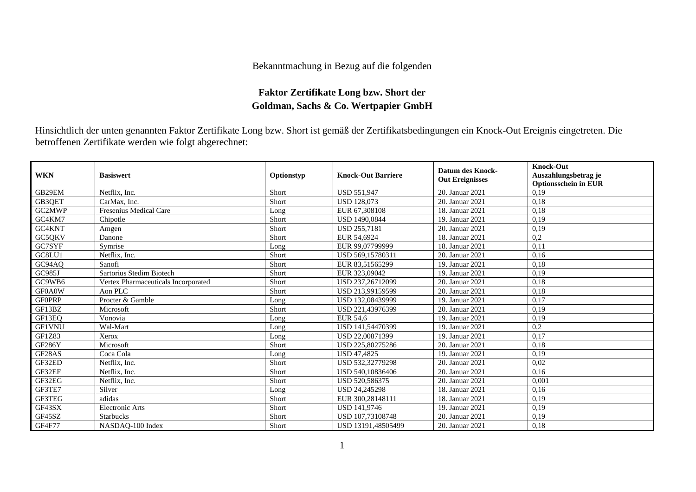## Bekanntmachung in Bezug auf die folgenden

## **Faktor Zertifikate Long bzw. Short der Goldman, Sachs & Co. Wertpapier GmbH**

Hinsichtlich der unten genannten Faktor Zertifikate Long bzw. Short ist gemäß der Zertifikatsbedingungen ein Knock-Out Ereignis eingetreten. Die betroffenen Zertifikate werden wie folgt abgerechnet:

| <b>WKN</b>    | <b>Basiswert</b>                    | Optionstyp | <b>Knock-Out Barriere</b> | <b>Datum des Knock-</b><br><b>Out Ereignisses</b> | <b>Knock-Out</b><br>Auszahlungsbetrag je<br><b>Optionsschein in EUR</b> |
|---------------|-------------------------------------|------------|---------------------------|---------------------------------------------------|-------------------------------------------------------------------------|
| GB29EM        | Netflix, Inc.                       | Short      | <b>USD 551,947</b>        | 20. Januar 2021                                   | 0.19                                                                    |
| GB3QET        | CarMax, Inc.                        | Short      | <b>USD 128.073</b>        | 20. Januar 2021                                   | 0,18                                                                    |
| GC2MWP        | Fresenius Medical Care              | Long       | EUR 67,308108             | 18. Januar 2021                                   | 0.18                                                                    |
| GC4KM7        | Chipotle                            | Short      | <b>USD 1490,0844</b>      | 19. Januar 2021                                   | 0,19                                                                    |
| GC4KNT        | Amgen                               | Short      | <b>USD 255,7181</b>       | 20. Januar 2021                                   | 0,19                                                                    |
| GC5QKV        | Danone                              | Short      | EUR 54,6924               | 18. Januar 2021                                   | 0,2                                                                     |
| GC7SYF        | Symrise                             | Long       | EUR 99,07799999           | 18. Januar 2021                                   | 0,11                                                                    |
| GC8LU1        | Netflix, Inc.                       | Short      | USD 569.15780311          | 20. Januar 2021                                   | 0,16                                                                    |
| GC94AQ        | Sanofi                              | Short      | EUR 83,51565299           | 19. Januar 2021                                   | 0.18                                                                    |
| GC985J        | Sartorius Stedim Biotech            | Short      | EUR 323,09042             | 19. Januar 2021                                   | 0,19                                                                    |
| GC9WB6        | Vertex Pharmaceuticals Incorporated | Short      | USD 237,26712099          | 20. Januar 2021                                   | 0,18                                                                    |
| GF0A0W        | Aon PLC                             | Short      | USD 213,99159599          | 20. Januar 2021                                   | 0,18                                                                    |
| <b>GF0PRP</b> | Procter & Gamble                    | Long       | USD 132,08439999          | 19. Januar 2021                                   | 0.17                                                                    |
| GF13BZ        | Microsoft                           | Short      | USD 221,43976399          | 20. Januar 2021                                   | 0,19                                                                    |
| GF13EQ        | Vonovia                             | Long       | EUR 54.6                  | 19. Januar 2021                                   | 0,19                                                                    |
| GF1VNU        | Wal-Mart                            | Long       | USD 141,54470399          | 19. Januar 2021                                   | 0,2                                                                     |
| GF1Z83        | Xerox                               | Long       | USD 22,00871399           | 19. Januar 2021                                   | 0.17                                                                    |
| <b>GF286Y</b> | Microsoft                           | Short      | USD 225,80275286          | 20. Januar 2021                                   | 0,18                                                                    |
| GF28AS        | Coca Cola                           | Long       | USD 47,4825               | 19. Januar 2021                                   | 0,19                                                                    |
| GF32ED        | Netflix, Inc.                       | Short      | USD 532,32779298          | 20. Januar 2021                                   | 0,02                                                                    |
| GF32EF        | Netflix, Inc.                       | Short      | USD 540,10836406          | 20. Januar 2021                                   | 0,16                                                                    |
| GF32EG        | Netflix. Inc.                       | Short      | USD 520,586375            | 20. Januar 2021                                   | 0,001                                                                   |
| GF3TE7        | Silver                              | Long       | USD 24.245298             | 18. Januar 2021                                   | 0,16                                                                    |
| GF3TEG        | adidas                              | Short      | EUR 300.28148111          | 18. Januar 2021                                   | 0,19                                                                    |
| GF43SX        | Electronic Arts                     | Short      | <b>USD 141,9746</b>       | 19. Januar 2021                                   | 0,19                                                                    |
| GF45SZ        | <b>Starbucks</b>                    | Short      | USD 107,73108748          | 20. Januar 2021                                   | 0,19                                                                    |
| GF4F77        | NASDAQ-100 Index                    | Short      | USD 13191.48505499        | 20. Januar 2021                                   | 0,18                                                                    |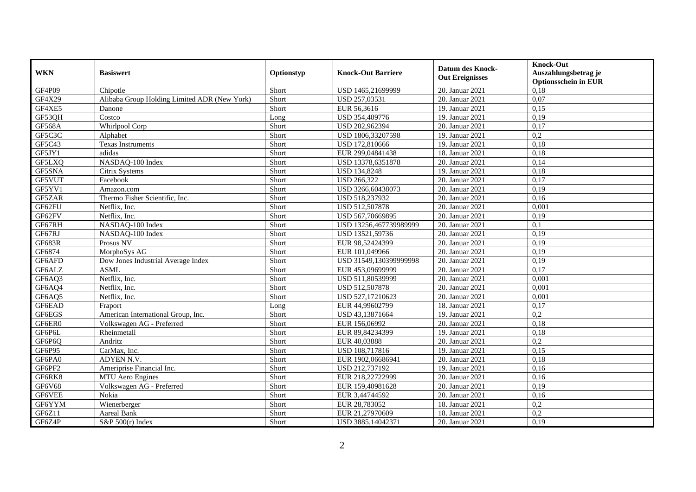| <b>WKN</b>    | <b>Basiswert</b>                             | Optionstyp | <b>Knock-Out Barriere</b> | <b>Datum des Knock-</b><br><b>Out Ereignisses</b> | <b>Knock-Out</b><br>Auszahlungsbetrag je<br><b>Optionsschein in EUR</b> |
|---------------|----------------------------------------------|------------|---------------------------|---------------------------------------------------|-------------------------------------------------------------------------|
| GF4P09        | Chipotle                                     | Short      | USD 1465,21699999         | 20. Januar 2021                                   | 0,18                                                                    |
| GF4X29        | Alibaba Group Holding Limited ADR (New York) | Short      | USD 257,03531             | 20. Januar 2021                                   | 0,07                                                                    |
| GF4XE5        | Danone                                       | Short      | EUR 56,3616               | 19. Januar 2021                                   | 0,15                                                                    |
| GF53QH        | Costco                                       | Long       | USD 354,409776            | 19. Januar 2021                                   | 0,19                                                                    |
| <b>GF568A</b> | Whirlpool Corp                               | Short      | USD 202,962394            | 20. Januar 2021                                   | 0,17                                                                    |
| GF5C3C        | Alphabet                                     | Short      | USD 1806,33207598         | 19. Januar 2021                                   | 0,2                                                                     |
| GF5C43        | <b>Texas Instruments</b>                     | Short      | USD 172,810666            | 19. Januar 2021                                   | 0,18                                                                    |
| GF5JY1        | adidas                                       | Short      | EUR 299,04841438          | 18. Januar 2021                                   | 0,18                                                                    |
| GF5LXQ        | NASDAQ-100 Index                             | Short      | USD 13378,6351878         | 20. Januar 2021                                   | 0,14                                                                    |
| GF5SNA        | Citrix Systems                               | Short      | <b>USD 134,8248</b>       | 19. Januar 2021                                   | 0,18                                                                    |
| GF5VUT        | Facebook                                     | Short      | <b>USD 266,322</b>        | 20. Januar 2021                                   | 0,17                                                                    |
| GF5YV1        | Amazon.com                                   | Short      | USD 3266,60438073         | 20. Januar 2021                                   | 0,19                                                                    |
| GF5ZAR        | Thermo Fisher Scientific, Inc.               | Short      | USD 518,237932            | 20. Januar 2021                                   | 0.16                                                                    |
| GF62FU        | Netflix, Inc.                                | Short      | USD 512,507878            | 20. Januar 2021                                   | 0,001                                                                   |
| GF62FV        | Netflix, Inc.                                | Short      | USD 567,70669895          | 20. Januar 2021                                   | 0,19                                                                    |
| GF67RH        | NASDAQ-100 Index                             | Short      | USD 13256,467739989999    | 20. Januar 2021                                   | 0,1                                                                     |
| GF67RJ        | NASDAQ-100 Index                             | Short      | USD 13521,59736           | 20. Januar 2021                                   | 0,19                                                                    |
| <b>GF683R</b> | Prosus NV                                    | Short      | EUR 98.52424399           | 20. Januar 2021                                   | 0.19                                                                    |
| GF6874        | MorphoSys AG                                 | Short      | EUR 101,049966            | 20. Januar 2021                                   | 0,19                                                                    |
| GF6AFD        | Dow Jones Industrial Average Index           | Short      | USD 31549,130399999998    | 20. Januar 2021                                   | 0,19                                                                    |
| GF6ALZ        | <b>ASML</b>                                  | Short      | EUR 453,09699999          | 20. Januar 2021                                   | 0,17                                                                    |
| GF6AQ3        | Netflix, Inc.                                | Short      | USD 511,80539999          | 20. Januar 2021                                   | 0,001                                                                   |
| GF6AQ4        | Netflix, Inc.                                | Short      | USD 512,507878            | 20. Januar 2021                                   | 0,001                                                                   |
| GF6AQ5        | Netflix, Inc.                                | Short      | USD 527,17210623          | 20. Januar 2021                                   | 0,001                                                                   |
| GF6EAD        | Fraport                                      | Long       | EUR 44,99602799           | 18. Januar 2021                                   | 0,17                                                                    |
| GF6EGS        | American International Group, Inc.           | Short      | USD 43,13871664           | 19. Januar 2021                                   | 0,2                                                                     |
| GF6ER0        | Volkswagen AG - Preferred                    | Short      | EUR 156,06992             | 20. Januar 2021                                   | 0,18                                                                    |
| GF6P6L        | Rheinmetall                                  | Short      | EUR 89,84234399           | 19. Januar 2021                                   | 0,18                                                                    |
| GF6P6Q        | Andritz                                      | Short      | EUR 40,03888              | 20. Januar 2021                                   | $\overline{0,2}$                                                        |
| GF6P95        | CarMax, Inc.                                 | Short      | USD 108,717816            | 19. Januar 2021                                   | 0,15                                                                    |
| GF6PA0        | ADYEN N.V.                                   | Short      | EUR 1902,06686941         | 20. Januar 2021                                   | 0,18                                                                    |
| GF6PF2        | Ameriprise Financial Inc.                    | Short      | USD 212,737192            | 19. Januar 2021                                   | 0,16                                                                    |
| GF6RK8        | MTU Aero Engines                             | Short      | EUR 218,22722999          | 20. Januar 2021                                   | 0,16                                                                    |
| <b>GF6V68</b> | Volkswagen AG - Preferred                    | Short      | EUR 159,40981628          | 20. Januar 2021                                   | 0,19                                                                    |
| GF6VEE        | Nokia                                        | Short      | EUR 3,44744592            | 20. Januar 2021                                   | 0,16                                                                    |
| GF6YYM        | Wienerberger                                 | Short      | EUR 28,783052             | 18. Januar 2021                                   | 0,2                                                                     |
| GF6Z11        | Aareal Bank                                  | Short      | EUR 21,27970609           | 18. Januar 2021                                   | 0,2                                                                     |
| GF6Z4P        | $S\&P 500(r)$ Index                          | Short      | USD 3885,14042371         | 20. Januar 2021                                   | 0,19                                                                    |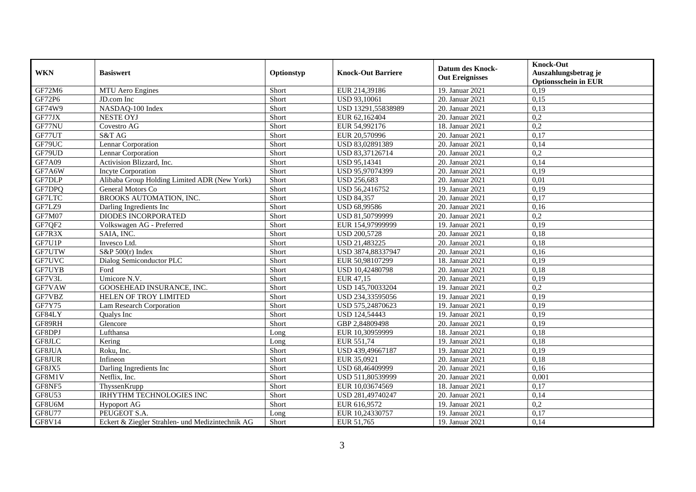| <b>WKN</b>    | <b>Basiswert</b>                                 | Optionstyp | <b>Knock-Out Barriere</b> | <b>Datum des Knock-</b><br><b>Out Ereignisses</b> | <b>Knock-Out</b><br>Auszahlungsbetrag je<br><b>Optionsschein in EUR</b> |
|---------------|--------------------------------------------------|------------|---------------------------|---------------------------------------------------|-------------------------------------------------------------------------|
| GF72M6        | <b>MTU Aero Engines</b>                          | Short      | EUR 214,39186             | 19. Januar 2021                                   | 0,19                                                                    |
| GF72P6        | JD.com Inc                                       | Short      | USD 93,10061              | 20. Januar 2021                                   | 0,15                                                                    |
| GF74W9        | NASDAQ-100 Index                                 | Short      | USD 13291,55838989        | 20. Januar 2021                                   | 0,13                                                                    |
| GF77JX        | <b>NESTE OYJ</b>                                 | Short      | EUR 62,162404             | 20. Januar 2021                                   | 0,2                                                                     |
| GF77NU        | Covestro AG                                      | Short      | EUR 54,992176             | 18. Januar 2021                                   | 0,2                                                                     |
| GF77UT        | S&T AG                                           | Short      | EUR 20,570996             | 20. Januar 2021                                   | 0,17                                                                    |
| GF79UC        | Lennar Corporation                               | Short      | USD 83,02891389           | 20. Januar 2021                                   | 0,14                                                                    |
| GF79UD        | Lennar Corporation                               | Short      | USD 83,37126714           | 20. Januar 2021                                   | 0,2                                                                     |
| GF7A09        | Activision Blizzard, Inc.                        | Short      | USD 95,14341              | 20. Januar 2021                                   | 0,14                                                                    |
| GF7A6W        | Incyte Corporation                               | Short      | USD 95,97074399           | 20. Januar 2021                                   | 0,19                                                                    |
| GF7DLP        | Alibaba Group Holding Limited ADR (New York)     | Short      | <b>USD 256,683</b>        | 20. Januar 2021                                   | 0,01                                                                    |
| GF7DPQ        | General Motors Co                                | Short      | USD 56,2416752            | 19. Januar 2021                                   | 0,19                                                                    |
| GF7LTC        | BROOKS AUTOMATION, INC.                          | Short      | <b>USD 84,357</b>         | 20. Januar 2021                                   | 0,17                                                                    |
| GF7LZ9        | Darling Ingredients Inc                          | Short      | USD 68,99586              | 20. Januar 2021                                   | 0,16                                                                    |
| GF7M07        | DIODES INCORPORATED                              | Short      | USD 81,50799999           | 20. Januar 2021                                   | $\overline{0,2}$                                                        |
| GF7QF2        | Volkswagen AG - Preferred                        | Short      | EUR 154,97999999          | 19. Januar 2021                                   | 0,19                                                                    |
| GF7R3X        | SAIA, INC.                                       | Short      | <b>USD 200,5728</b>       | 20. Januar 2021                                   | 0,18                                                                    |
| GF7U1P        | Invesco Ltd.                                     | Short      | USD 21,483225             | 20. Januar 2021                                   | 0,18                                                                    |
| GF7UTW        | $S\&P 500(r)$ Index                              | Short      | USD 3874,88337947         | 20. Januar 2021                                   | 0,16                                                                    |
| GF7UVC        | Dialog Semiconductor PLC                         | Short      | EUR 50,98107299           | 18. Januar 2021                                   | 0,19                                                                    |
| GF7UYB        | Ford                                             | Short      | USD 10,42480798           | 20. Januar 2021                                   | 0,18                                                                    |
| GF7V3L        | Umicore N.V.                                     | Short      | EUR 47,15                 | 20. Januar 2021                                   | 0,19                                                                    |
| GF7VAW        | GOOSEHEAD INSURANCE, INC.                        | Short      | USD 145,70033204          | 19. Januar 2021                                   | 0,2                                                                     |
| GF7VBZ        | HELEN OF TROY LIMITED                            | Short      | USD 234,33595056          | 19. Januar 2021                                   | 0,19                                                                    |
| GF7Y75        | Lam Research Corporation                         | Short      | USD 575,24870623          | 19. Januar 2021                                   | 0.19                                                                    |
| GF84LY        | Qualys Inc                                       | Short      | USD 124,54443             | 19. Januar 2021                                   | 0,19                                                                    |
| GF89RH        | Glencore                                         | Short      | GBP 2,84809498            | 20. Januar 2021                                   | 0,19                                                                    |
| GF8DPJ        | Lufthansa                                        | Long       | EUR 10,30959999           | 18. Januar 2021                                   | 0,18                                                                    |
| GF8JLC        | Kering                                           | Long       | EUR 551,74                | 19. Januar 2021                                   | 0,18                                                                    |
| GF8JUA        | Roku, Inc.                                       | Short      | USD 439,49667187          | 19. Januar 2021                                   | 0,19                                                                    |
| GF8JUR        | Infineon                                         | Short      | EUR 35,0921               | 20. Januar 2021                                   | 0,18                                                                    |
| GF8JX5        | Darling Ingredients Inc                          | Short      | USD 68,46409999           | 20. Januar 2021                                   | 0,16                                                                    |
| GF8M1V        | Netflix, Inc.                                    | Short      | USD 511,80539999          | 20. Januar 2021                                   | 0,001                                                                   |
| GF8NF5        | ThyssenKrupp                                     | Short      | EUR 10,03674569           | 18. Januar 2021                                   | 0,17                                                                    |
| GF8U53        | <b>IRHYTHM TECHNOLOGIES INC</b>                  | Short      | USD 281,49740247          | 20. Januar 2021                                   | 0,14                                                                    |
| GF8U6M        | <b>Hypoport AG</b>                               | Short      | EUR 616,9572              | 19. Januar 2021                                   | 0,2                                                                     |
| <b>GF8U77</b> | PEUGEOT S.A.                                     | Long       | EUR 10,24330757           | 19. Januar 2021                                   | 0,17                                                                    |
| GF8V14        | Eckert & Ziegler Strahlen- und Medizintechnik AG | Short      | EUR 51,765                | 19. Januar 2021                                   | 0,14                                                                    |